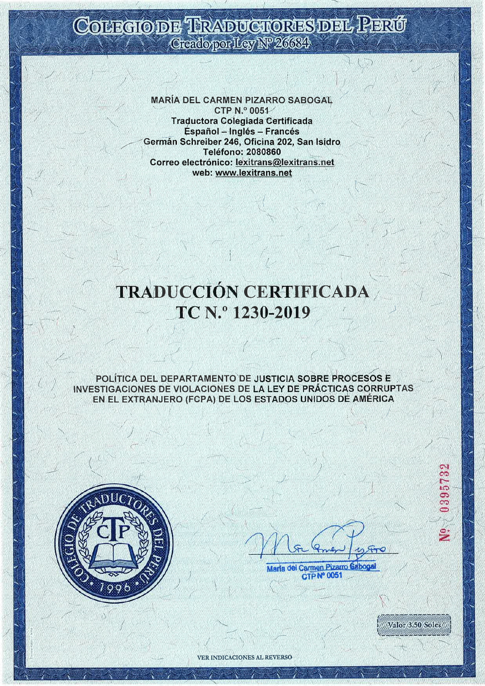COLEGIODE TRADUCTORES DEL PERÚ

**MARÍA DEL CARMEN PIZARRO SABOGAL** CTP N.º 0051 Traductora Colegiada Certificada **Éspañol - Inglés - Francés** Germán Schreiber 246, Oficina 202, San Isidro **Teléfono: 2080860** Correo electrónico: lexitrans@lexitrans.net web: www.lexitrans.net

# TRADUCCIÓN CERTIFICADA TC N.º 1230-2019

POLÍTICA DEL DEPARTAMENTO DE JUSTICIA SOBRE PROCESOS E INVESTIGACIONES DE VIOLACIONES DE LA LEY DE PRÁCTICAS CORRUPTAS EN EL EXTRANJERO (FCPA) DE LOS ESTADOS UNIDOS DE AMÉRICA



Maria del Carmen Pizarro Sabogal

Valor/3.50 Soles

 $\mathbf{S}$ 

**VER INDICACIONES AL REVERSO**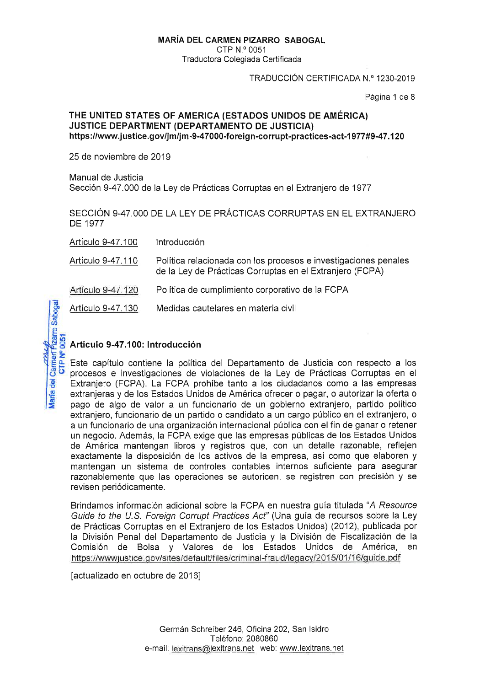# MARÍA DEL CARMEN PIZARRO SABOGAL

CTP N.º 0051

Traductora Colegiada Certificada

TRADUCCIÓN CERTIFICADA Nº 1230-2019

Página 1 de 8

#### THE UNITED STATES OF AMERICA (ESTADOS UNIDOS DE AMÉRICA) JUSTICE DEPARTMENT (DEPARTAMENTO DE JUSTICIA) https://www.justice.gov/jm/jm-9-47000-foreign-corrupt-practices-act-1977#9-47.120

25 de noviembre de 2019

Manual de Justicia

Sección 9-47.000 de la Ley de Prácticas Corruptas en el Extranjero de 1977

SECCIÓN 9-47,000 DE LA LEY DE PRÁCTICAS CORRUPTAS EN EL EXTRANJERO DE 1977

Introducción Artículo 9-47.100

Artículo 9-47.110 Política relacionada con los procesos e investigaciones penales de la Ley de Prácticas Corruptas en el Extranjero (FCPA)

Política de cumplimiento corporativo de la FCPA Artículo 9-47.120

Artículo 9-47.130 Medidas cautelares en materia civil

# Artículo 9-47.100: Introducción

Marta del Carmen Pizarro Sabogal

CTP N° 0051

Este capítulo contiene la política del Departamento de Justicia con respecto a los procesos e investigaciones de violaciones de la Ley de Prácticas Corruptas en el Extranjero (FCPA). La FCPA prohíbe tanto a los ciudadanos como a las empresas extranjeras y de los Estados Unidos de América ofrecer o pagar, o autorizar la oferta o pago de algo de valor a un funcionario de un gobierno extranjero, partido político extranjero, funcionario de un partido o candidato a un cargo público en el extranjero, o a un funcionario de una organización internacional pública con el fin de ganar o retener un negocio. Además, la FCPA exige que las empresas públicas de los Estados Unidos de América mantengan libros y registros que, con un detalle razonable, reflejen exactamente la disposición de los activos de la empresa, así como que elaboren y mantengan un sistema de controles contables internos suficiente para asegurar razonablemente que las operaciones se autoricen, se registren con precisión y se revisen periódicamente.

Brindamos información adicional sobre la FCPA en nuestra guía titulada "A Resource" Guide to the U.S. Foreign Corrupt Practices Act" (Una guía de recursos sobre la Ley de Prácticas Corruptas en el Extranjero de los Estados Unidos) (2012), publicada por la División Penal del Departamento de Justicia y la División de Fiscalización de la Comisión de Bolsa y Valores de los Estados Unidos de América, en https://wwwjustice.gov/sites/default/files/criminal-fraud/legacy/2015/01/16/guide.pdf

[actualizado en octubre de 2016]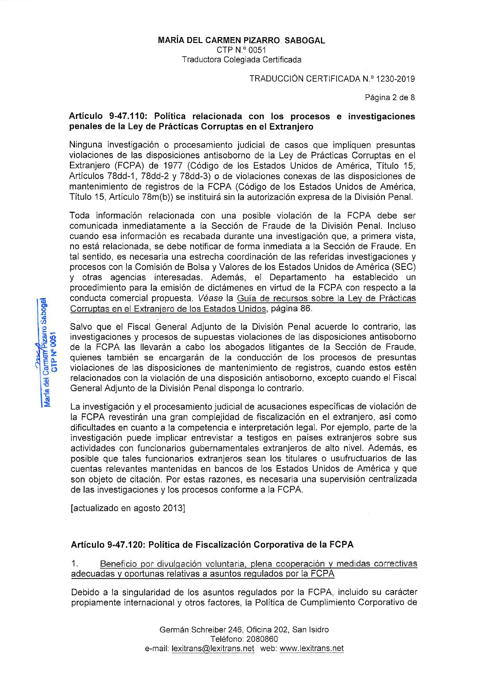# TRADUCCIÓN CERTIFICADA Nº 1230-2019

Página 2 de 8

#### Artículo 9-47.110: Política relacionada con los procesos e investigaciones penales de la Ley de Prácticas Corruptas en el Extranjero

Ninguna investigación o procesamiento judicial de casos que impliquen presuntas violaciones de las disposiciones antisoborno de la Lev de Prácticas Corruptas en el Extranjero (FCPA) de 1977 (Código de los Estados Unidos de América, Título 15. Artículos 78dd-1, 78dd-2 y 78dd-3) o de violaciones conexas de las disposiciones de mantenimiento de registros de la FCPA (Código de los Estados Unidos de América, Título 15, Artículo 78m(b)) se instituirá sin la autorización expresa de la División Penal.

Toda información relacionada con una posible violación de la FCPA debe ser comunicada inmediatamente a la Sección de Fraude de la División Penal. Incluso cuando esa información es recabada durante una investigación que, a primera vista, no está relacionada, se debe notificar de forma inmediata a la Sección de Fraude. En tal sentido, es necesaria una estrecha coordinación de las referidas investigaciones y procesos con la Comisión de Bolsa y Valores de los Estados Unidos de América (SEC) y otras agencias interesadas. Además, el Departamento ha establecido un procedimiento para la emisión de dictámenes en virtud de la FCPA con respecto a la conducta comercial propuesta. Véase la Guía de recursos sobre la Ley de Prácticas Corruptas en el Extranjero de los Estados Unidos, página 86.

Salvo que el Fiscal General Adiunto de la División Penal acuerde lo contrario, las investigaciones y procesos de supuestas violaciones de las disposiciones antisoborno de la FCPA las llevarán a cabo los abogados litigantes de la Sección de Fraude, quienes también se encargarán de la conducción de los procesos de presuntas violaciones de las disposiciones de mantenimiento de registros, cuando estos estén relacionados con la violación de una disposición antisoborno, excepto cuando el Fiscal General Adjunto de la División Penal disponga lo contrario.

La investigación y el procesamiento judicial de acusaciones específicas de violación de la FCPA revestirán una gran complejidad de fiscalización en el extranjero, así como dificultades en cuanto a la competencia e interpretación legal. Por ejemplo, parte de la investigación puede implicar entrevistar a testigos en países extranjeros sobre sus actividades con funcionarios gubernamentales extranjeros de alto nivel. Además, es posible que tales funcionarios extranjeros sean los titulares o usufructuarios de las cuentas relevantes mantenidas en bancos de los Estados Unidos de América y que son objeto de citación. Por estas razones, es necesaria una supervisión centralizada de las investigaciones y los procesos conforme a la FCPA.

[actualizado en agosto 2013]

### Artículo 9-47.120: Política de Fiscalización Corporativa de la FCPA

Beneficio por divulgación voluntaria, plena cooperación y medidas correctivas 1. adecuadas y oportunas relativas a asuntos regulados por la FCPA

Debido a la singularidad de los asuntos regulados por la FCPA, incluido su carácter propiamente internacional y otros factores, la Política de Cumplimiento Corporativo de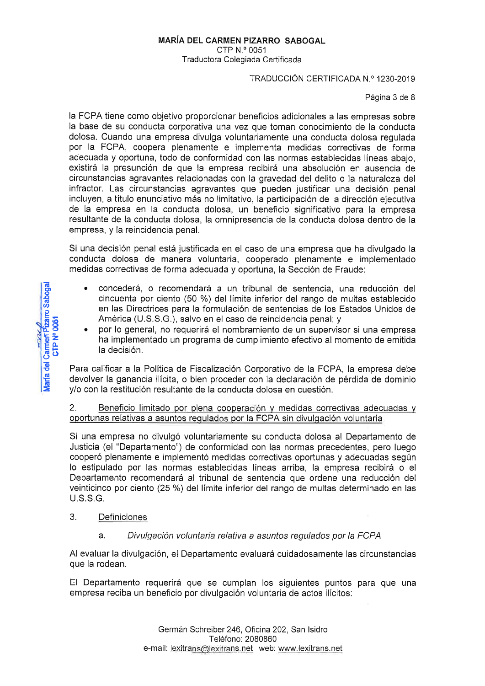## MARÍA DEL CARMEN PIZARRO SABOGAL CTP N.º 0051 Traductora Colegiada Certificada

# TRADUCCIÓN CERTIFICADA Nº 1230-2019

Página 3 de 8

la FCPA tiene como objetivo proporcionar beneficios adicionales a las empresas sobre la base de su conducta corporativa una vez que toman conocimiento de la conducta dolosa. Cuando una empresa divulga voluntariamente una conducta dolosa regulada por la FCPA, coopera plenamente e implementa medidas correctivas de forma adecuada y oportuna, todo de conformidad con las normas establecidas líneas abaio. existirá la presunción de que la empresa recibirá una absolución en ausencia de circunstancias agravantes relacionadas con la gravedad del delito o la naturaleza del infractor. Las circunstancias agravantes que pueden justificar una decisión penal incluyen, a título enunciativo más no limitativo, la participación de la dirección ejecutiva de la empresa en la conducta dolosa, un beneficio significativo para la empresa resultante de la conducta dolosa, la omnipresencia de la conducta dolosa dentro de la empresa, y la reincidencia penal.

Si una decisión penal está justificada en el caso de una empresa que ha divulgado la conducta dolosa de manera voluntaria, cooperado plenamente e implementado medidas correctivas de forma adecuada y oportuna, la Sección de Fraude:

- concederá, o recomendará a un tribunal de sentencia, una reducción del cincuenta por ciento (50 %) del límite inferior del rango de multas establecido en las Directrices para la formulación de sentencias de los Estados Unidos de América (U.S.S.G.), salvo en el caso de reincidencia penal; y
- por lo general, no requerirá el nombramiento de un supervisor si una empresa ha implementado un programa de cumplimiento efectivo al momento de emitida la decisión.

Para calificar a la Política de Fiscalización Corporativo de la FCPA, la empresa debe devolver la ganancia ilícita, o bien proceder con la declaración de pérdida de dominio y/o con la restitución resultante de la conducta dolosa en cuestión.

 $2.$ Beneficio limitado por plena cooperación y medidas correctivas adecuadas y oportunas relativas a asuntos regulados por la FCPA sin divulgación voluntaria

Si una empresa no divulgó voluntariamente su conducta dolosa al Departamento de Justicia (el "Departamento") de conformidad con las normas precedentes, pero luego cooperó plenamente e implementó medidas correctivas oportunas y adecuadas según lo estipulado por las normas establecidas líneas arriba, la empresa recibirá o el Departamento recomendará al tribunal de sentencia que ordene una reducción del veinticinco por ciento (25 %) del límite inferior del rango de multas determinado en las  $U.S.S.G.$ 

- 3. Definiciones
	- Divulgación voluntaria relativa a asuntos regulados por la FCPA a.

Al evaluar la divulgación, el Departamento evaluará cuidadosamente las circunstancias que la rodean.

El Departamento requerirá que se cumplan los siguientes puntos para que una empresa reciba un beneficio por divulgación voluntaria de actos ilícitos: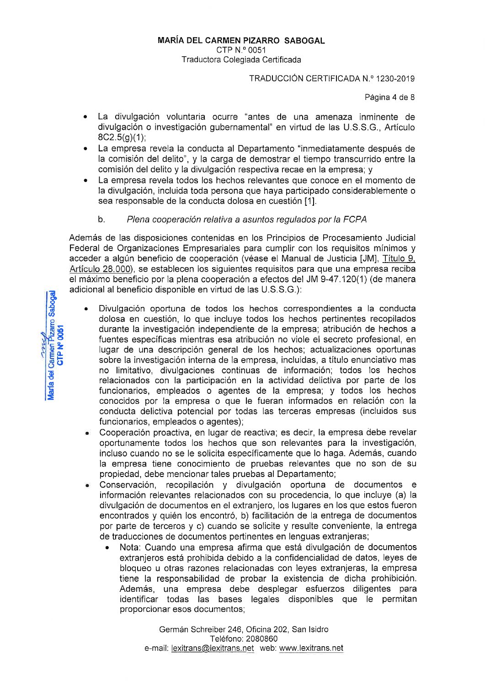# TRADUCCIÓN CERTIFICADA Nº 1230-2019

Página 4 de 8

- La divulgación voluntaria ocurre "antes de una amenaza inminente de divulgación o investigación gubernamental" en virtud de las U.S.S.G., Artículo  $8C2.5(q)(1)$ ;
- La empresa revela la conducta al Departamento "inmediatamente después de la comisión del delito", y la carga de demostrar el tiempo transcurrido entre la comisión del delito y la divulgación respectiva recae en la empresa; y
- La empresa revela todos los hechos relevantes que conoce en el momento de la divulgación, incluida toda persona que haya participado considerablemente o sea responsable de la conducta dolosa en cuestión [1].

#### $b<sub>1</sub>$ Plena cooperación relativa a asuntos regulados por la FCPA

Además de las disposiciones contenidas en los Principios de Procesamiento Judicial Federal de Organizaciones Empresariales para cumplir con los requisitos mínimos y acceder a algún beneficio de cooperación (véase el Manual de Justicia [JM], Título 9, Artículo 28.000), se establecen los siguientes requisitos para que una empresa reciba el máximo beneficio por la plena cooperación a efectos del JM 9-47.120(1) (de manera adicional al beneficio disponible en virtud de las U.S.S.G.):

- Divulgación oportuna de todos los hechos correspondientes a la conducta dolosa en cuestión, lo que incluye todos los hechos pertinentes recopilados durante la investigación independiente de la empresa; atribución de hechos a fuentes específicas mientras esa atribución no viole el secreto profesional, en lugar de una descripción general de los hechos; actualizaciones oportunas sobre la investigación interna de la empresa, incluidas, a título enunciativo mas no limitativo, divulgaciones continuas de información; todos los hechos relacionados con la participación en la actividad delictiva por parte de los funcionarios, empleados o agentes de la empresa; y todos los hechos conocidos por la empresa o que le fueran informados en relación con la conducta delictiva potencial por todas las terceras empresas (incluidos sus funcionarios, empleados o agentes);
	- Cooperación proactiva, en lugar de reactiva; es decir, la empresa debe revelar oportunamente todos los hechos que son relevantes para la investigación, incluso cuando no se le solicita específicamente que lo haga. Además, cuando la empresa tiene conocimiento de pruebas relevantes que no son de su propiedad, debe mencionar tales pruebas al Departamento;
- Conservación, recopilación y divulgación oportuna de documentos e información relevantes relacionados con su procedencia, lo que incluye (a) la divulgación de documentos en el extranjero, los lugares en los que estos fueron encontrados y quién los encontró, b) facilitación de la entrega de documentos por parte de terceros y c) cuando se solicite y resulte conveniente, la entrega de traducciones de documentos pertinentes en lenguas extranjeras;
	- Nota: Cuando una empresa afirma que está divulgación de documentos extranjeros está prohibida debido a la confidencialidad de datos, leyes de bloqueo u otras razones relacionadas con leyes extranjeras, la empresa tiene la responsabilidad de probar la existencia de dicha prohibición. Además, una empresa debe desplegar esfuerzos diligentes para identificar todas las bases legales disponibles que le permitan proporcionar esos documentos;

Germán Schreiber 246, Oficina 202, San Isidro Teléfono: 2080860 e-mail: lexitrans@lexitrans.net\_web: www.lexitrans.net

María del Carmen Pizarro Sabogal CTP Nº 0051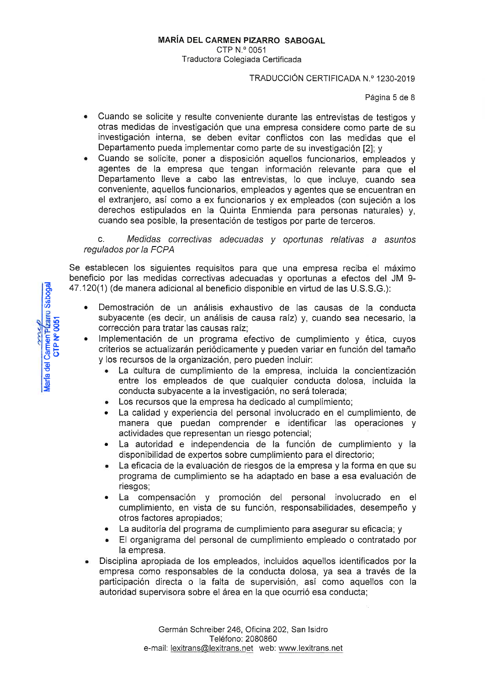# TRADUCCIÓN CERTIFICADA Nº 1230-2019

Página 5 de 8

- Cuando se solicite y resulte conveniente durante las entrevistas de testigos y otras medidas de investigación que una empresa considere como parte de su investigación interna, se deben evitar conflictos con las medidas que el Departamento pueda implementar como parte de su investigación [2]; y
- Cuando se solicite, poner a disposición aquellos funcionarios, empleados y agentes de la empresa que tengan información relevante para que el Departamento lleve a cabo las entrevistas, lo que incluye, cuando sea conveniente, aquellos funcionarios, empleados y agentes que se encuentran en el extranjero, así como a ex funcionarios y ex empleados (con sujeción a los derechos estipulados en la Quinta Enmienda para personas naturales) y cuando sea posible, la presentación de testigos por parte de terceros.

Medidas correctivas adecuadas y oportunas relativas a asuntos  $C<sub>1</sub>$ regulados por la FCPA

Se establecen los siguientes requisitos para que una empresa reciba el máximo beneficio por las medidas correctivas adecuadas y oportunas a efectos del JM 9-47.120(1) (de manera adicional al beneficio disponible en virtud de las U.S.S.G.):

- Demostración de un análisis exhaustivo de las causas de la conducta subyacente (es decir, un análisis de causa raíz) y, cuando sea necesario, la corrección para tratar las causas raíz;
- Implementación de un programa efectivo de cumplimiento y ética, cuyos criterios se actualizarán periódicamente y pueden variar en función del tamaño y los recursos de la organización, pero pueden incluir:
	- La cultura de cumplimiento de la empresa, incluida la concientización entre los empleados de que cualquier conducta dolosa, incluida la conducta subyacente a la investigación, no será tolerada;
	- Los recursos que la empresa ha dedicado al cumplimiento;
	- La calidad y experiencia del personal involucrado en el cumplimiento, de manera que puedan comprender e identificar las operaciones y actividades que representan un riesgo potencial;
	- La autoridad e independencia de la función de cumplimiento y la disponibilidad de expertos sobre cumplimiento para el directorio;
	- La eficacia de la evaluación de riesgos de la empresa y la forma en que su programa de cumplimiento se ha adaptado en base a esa evaluación de riesgos;
	- La compensación y promoción del personal involucrado en el<br>cumplimiento, en vista de su función, responsabilidades, desempeño y otros factores apropiados;
	- La auditoría del programa de cumplimiento para asegurar su eficacia; y
	- El organigrama del personal de cumplimiento empleado o contratado por la empresa.
- Disciplina apropiada de los empleados, incluidos aquellos identificados por la empresa como responsables de la conducta dolosa, ya sea a través de la participación directa o la falta de supervisión, así como aquellos con la autoridad supervisora sobre el área en la que ocurrió esa conducta;

Marla del Camen Plzarro Sabogal CTP Nº 0051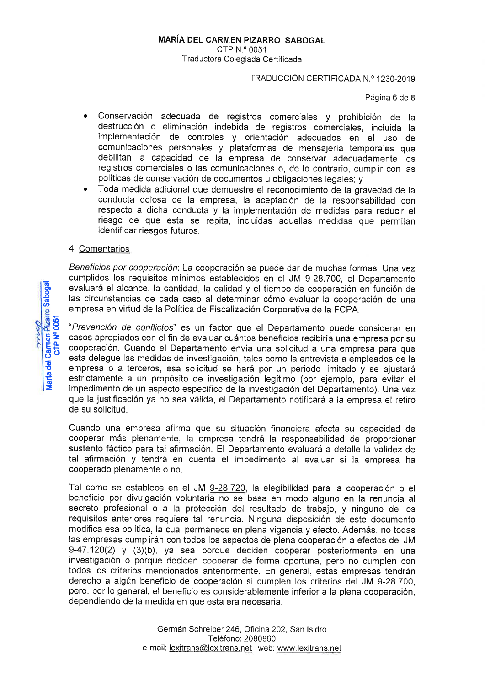# TRADUCCIÓN CERTIFICADA N.º 1230-2019

Página 6 de 8

- Conservación adecuada de registros comerciales y prohibición de la destrucción o eliminación indebida de registros comerciales, incluida la implementación de controles y orientación adecuados en el uso de comunicaciones personales y plataformas de mensajería temporales que debilitan la capacidad de la empresa de conservar adecuadamente los registros comerciales o las comunicaciones o, de lo contrario, cumplir con las políticas de conservación de documentos u obligaciones legales; y
- Toda medida adicional que demuestre el reconocimiento de la gravedad de la conducta dolosa de la empresa, la aceptación de la responsabilidad con respecto a dicha conducta y la implementación de medidas para reducir el riesgo de que esta se repita, incluidas aquellas medidas que permitan identificar riesgos futuros.

# 4. Comentarios

Beneficios por cooperación: La cooperación se puede dar de muchas formas. Una vez cumplidos los requisitos mínimos establecidos en el JM 9-28.700, el Departamento evaluará el alcance, la cantidad, la calidad y el tiempo de cooperación en función de las circunstancias de cada caso al determinar cómo evaluar la cooperación de una empresa en virtud de la Política de Fiscalización Corporativa de la FCPA.

"Prevención de conflictos" es un factor que el Departamento puede considerar en casos apropiados con el fin de evaluar cuántos beneficios recibiría una empresa por su cooperación. Cuando el Departamento envía una solicitud a una empresa para que esta delegue las medidas de investigación, tales como la entrevista a empleados de la empresa o a terceros, esa solicitud se hará por un periodo limitado y se ajustará estrictamente a un propósito de investigación legítimo (por ejemplo, para evitar el impedimento de un aspecto específico de la investigación del Departamento). Una vez que la justificación ya no sea válida, el Departamento notificará a la empresa el retiro de su solicitud.

Cuando una empresa afirma que su situación financiera afecta su capacidad de cooperar más plenamente, la empresa tendrá la responsabilidad de proporcionar sustento fáctico para tal afirmación. El Departamento evaluará a detalle la validez de tal afirmación y tendrá en cuenta el impedimento al evaluar si la empresa ha cooperado plenamente o no.

Tal como se establece en el JM 9-28.720, la elegibilidad para la cooperación o el beneficio por divulgación voluntaria no se basa en modo alguno en la renuncia al secreto profesional o a la protección del resultado de trabajo, y ninguno de los requisitos anteriores requiere tal renuncia. Ninguna disposición de este documento modifica esa política, la cual permanece en plena vigencia y efecto. Además, no todas las empresas cumplirán con todos los aspectos de plena cooperación a efectos del JM 9-47.120(2) y (3)(b), ya sea porque deciden cooperar posteriormente en una investigación o porque deciden cooperar de forma oportuna, pero no cumplen con todos los criterios mencionados anteriormente. En general, estas empresas tendrán derecho a algún beneficio de cooperación si cumplen los criterios del JM 9-28.700. pero, por lo general, el beneficio es considerablemente inferior a la plena cooperación, dependiendo de la medida en que esta era necesaria.

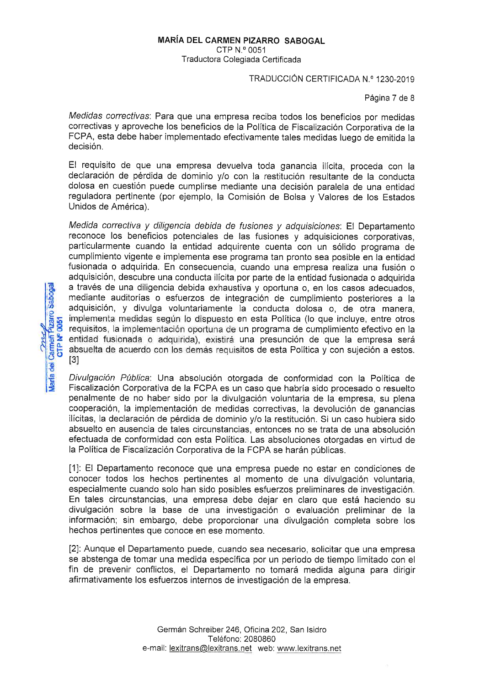#### MARÍA DEL CARMEN PIZARRO SABOGAL CTP N.º 0051 Traductora Colegiada Certificada

# TRADUCCIÓN CERTIFICADA N.º 1230-2019

Página 7 de 8

Medidas correctivas: Para que una empresa reciba todos los beneficios por medidas correctivas y aproveche los beneficios de la Política de Fiscalización Corporativa de la FCPA, esta debe haber implementado efectivamente tales medidas luego de emitida la decisión.

El requisito de que una empresa devuelva toda ganancia ilícita, proceda con la declaración de pérdida de dominio y/o con la restitución resultante de la conducta dolosa en cuestión puede cumplirse mediante una decisión paralela de una entidad reguladora pertinente (por ejemplo, la Comisión de Bolsa y Valores de los Estados Unidos de América).

Medida correctiva y diligencia debida de fusiones y adquisiciones: El Departamento reconoce los beneficios potenciales de las fusiones y adquisiciones corporativas, particularmente cuando la entidad adquirente cuenta con un sólido programa de cumplimiento vigente e implementa ese programa tan pronto sea posible en la entidad fusionada o adquirida. En consecuencia, cuando una empresa realiza una fusión o adquisición, descubre una conducta ilícita por parte de la entidad fusionada o adquirida a través de una diligencia debida exhaustiva y oportuna o, en los casos adecuados. mediante auditorías o esfuerzos de integración de cumplimiento posteriores a la adquisición, y divulga voluntariamente la conducta dolosa o de otra manera. implementa medidas según lo dispuesto en esta Política (lo que incluye, entre otros requisitos, la implementación oportuna de un programa de cumplimiento efectivo en la entidad fusionada o adquirida), existirá una presunción de que la empresa será absuelta de acuerdo con los demás requisitos de esta Política y con sujeción a estos. [3]

Divulgación Pública: Una absolución otorgada de conformidad con la Política de Fiscalización Corporativa de la FCPA es un caso que habría sido procesado o resuelto penalmente de no haber sido por la divulgación voluntaria de la empresa, su plena cooperación, la implementación de medidas correctivas, la devolución de ganancias ilícitas, la declaración de pérdida de dominio y/o la restitución. Si un caso hubiera sido absuelto en ausencia de tales circunstancias, entonces no se trata de una absolución efectuada de conformidad con esta Política. Las absoluciones otorgadas en virtud de la Política de Fiscalización Corporativa de la FCPA se harán públicas.

[1]: El Departamento reconoce que una empresa puede no estar en condiciones de conocer todos los hechos pertinentes al momento de una divulgación voluntaria. especialmente cuando solo han sido posibles esfuerzos preliminares de investigación. En tales circunstancias, una empresa debe dejar en claro que está haciendo su divulgación sobre la base de una investigación o evaluación preliminar de la información; sin embargo, debe proporcionar una divulgación completa sobre los hechos pertinentes que conoce en ese momento.

[2]: Aunque el Departamento puede, cuando sea necesario, solicitar que una empresa se abstenga de tomar una medida específica por un periodo de tiempo limitado con el fin de prevenir conflictos, el Departamento no tomará medida alguna para dirigir afirmativamente los esfuerzos internos de investigación de la empresa.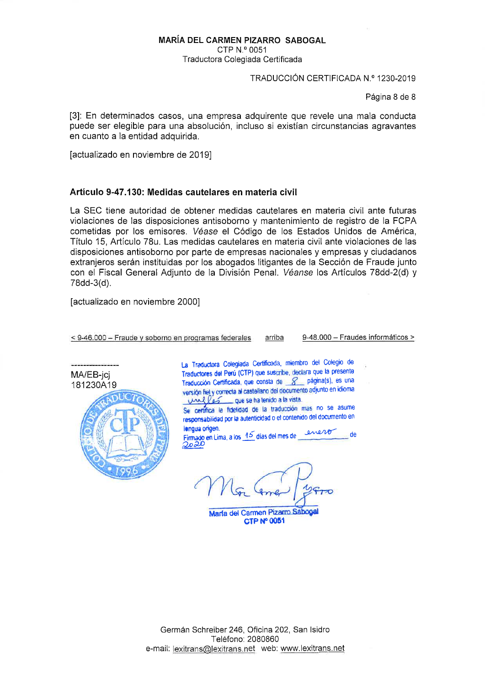# MARÍA DEL CARMEN PIZARRO SABOGAL CTP N.º 0051 Traductora Colegiada Certificada

#### TRADUCCIÓN CERTIFICADA Nº 1230-2019

Página 8 de 8

[3]: En determinados casos, una empresa adquirente que revele una mala conducta puede ser elegible para una absolución, incluso si existían circunstancias agravantes en cuanto a la entidad adquirida.

[actualizado en noviembre de 2019]

# Artículo 9-47.130: Medidas cautelares en materia civil

La SEC tiene autoridad de obtener medidas cautelares en materia civil ante futuras violaciones de las disposiciones antisoborno y mantenimiento de registro de la FCPA cometidas por los emisores. Véase el Código de los Estados Unidos de América, Título 15, Artículo 78u. Las medidas cautelares en materia civil ante violaciones de las disposiciones antisoborno por parte de empresas nacionales y empresas y ciudadanos extranjeros serán instituidas por los abogados litigantes de la Sección de Fraude junto con el Fiscal General Adjunto de la División Penal. Véanse los Artículos 78dd-2(d) y 78dd-3(d).

[actualizado en noviembre 2000]

 $\leq$  9-46.000 - Fraude y soborno en programas federales

arriba

9-48.000 - Fraudes informáticos >



La Traductora Colegiada Certificada, miembro del Colegio de Traductores del Perú (CTP) que suscribe, declara que la presente Traducción Certificada, que consta de 8 página(s), es una versión fiel y correcta al castellano del documento adjunto en idioma unles que se ha tenido a la vista

Se certifica la fidelidad de la traducción mas no se asume responsabilidad por la autenticidad o el contenido del documento en longua origen.

Firmado en Lima, a los 15 días del mes de

María del Carmen Pizarro Saboga **CTP Nº 0051**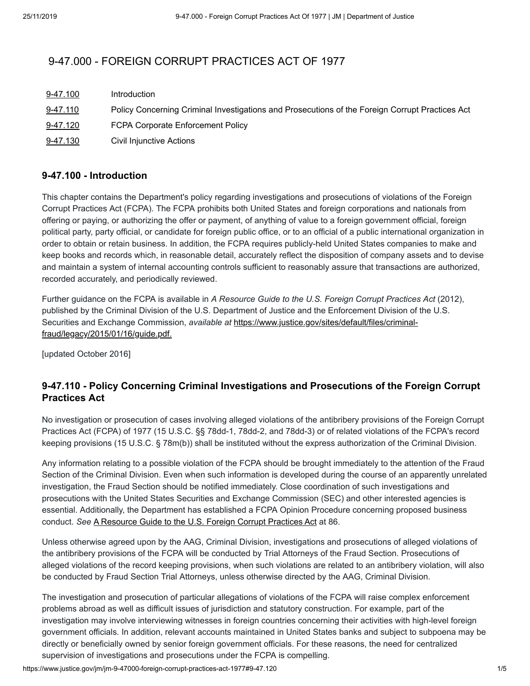# 9-47.000 - FOREIGN CORRUPT PRACTICES ACT OF 1977

| 9-47.100        | Introduction                                                                                    |
|-----------------|-------------------------------------------------------------------------------------------------|
| 9-47.110        | Policy Concerning Criminal Investigations and Prosecutions of the Foreign Corrupt Practices Act |
| <u>9-47.120</u> | <b>FCPA Corporate Enforcement Policy</b>                                                        |
| 9-47.130        | Civil Injunctive Actions                                                                        |

# <span id="page-9-0"></span>**9-47.100 - Introduction**

This chapter contains the Department's policy regarding investigations and prosecutions of violations of the Foreign Corrupt Practices Act (FCPA). The FCPA prohibits both United States and foreign corporations and nationals from offering or paying, or authorizing the offer or payment, of anything of value to a foreign government official, foreign political party, party official, or candidate for foreign public office, or to an official of a public international organization in order to obtain or retain business. In addition, the FCPA requires publicly-held United States companies to make and keep books and records which, in reasonable detail, accurately reflect the disposition of company assets and to devise and maintain a system of internal accounting controls sufficient to reasonably assure that transactions are authorized, recorded accurately, and periodically reviewed.

Further guidance on the FCPA is available in *A Resource Guide to the U.S. Foreign Corrupt Practices Act* (2012), published by the Criminal Division of the U.S. Department of Justice and the Enforcement Division of the U.S. Securities and Exchange Commission, *available at* [https://www.justice.gov/sites/default/files/criminal](https://www.justice.gov/sites/default/files/criminal-fraud/legacy/2015/01/16/guide.pdf)fraud/legacy/2015/01/16/guide.pdf.

[updated October 2016]

# <span id="page-9-1"></span>**9-47.110 - Policy Concerning Criminal Investigations and Prosecutions of the Foreign Corrupt Practices Act**

No investigation or prosecution of cases involving alleged violations of the antibribery provisions of the Foreign Corrupt Practices Act (FCPA) of 1977 (15 U.S.C. §§ 78dd-1, 78dd-2, and 78dd-3) or of related violations of the FCPA's record keeping provisions (15 U.S.C. § 78m(b)) shall be instituted without the express authorization of the Criminal Division.

Any information relating to a possible violation of the FCPA should be brought immediately to the attention of the Fraud Section of the Criminal Division. Even when such information is developed during the course of an apparently unrelated investigation, the Fraud Section should be notified immediately. Close coordination of such investigations and prosecutions with the United States Securities and Exchange Commission (SEC) and other interested agencies is essential. Additionally, the Department has established a FCPA Opinion Procedure concerning proposed business conduct. *See* [A Resource Guide to the U.S. Foreign Corrupt Practices Act](https://www.justice.gov/criminal/fraud/fcpa/guide.pdf) at 86.

Unless otherwise agreed upon by the AAG, Criminal Division, investigations and prosecutions of alleged violations of the antibribery provisions of the FCPA will be conducted by Trial Attorneys of the Fraud Section. Prosecutions of alleged violations of the record keeping provisions, when such violations are related to an antibribery violation, will also be conducted by Fraud Section Trial Attorneys, unless otherwise directed by the AAG, Criminal Division.

The investigation and prosecution of particular allegations of violations of the FCPA will raise complex enforcement problems abroad as well as difficult issues of jurisdiction and statutory construction. For example, part of the investigation may involve interviewing witnesses in foreign countries concerning their activities with high-level foreign government officials. In addition, relevant accounts maintained in United States banks and subject to subpoena may be directly or beneficially owned by senior foreign government officials. For these reasons, the need for centralized supervision of investigations and prosecutions under the FCPA is compelling.

https://www.justice.gov/jm/jm-9-47000-foreign-corrupt-practices-act-1977#9-47.120 1/5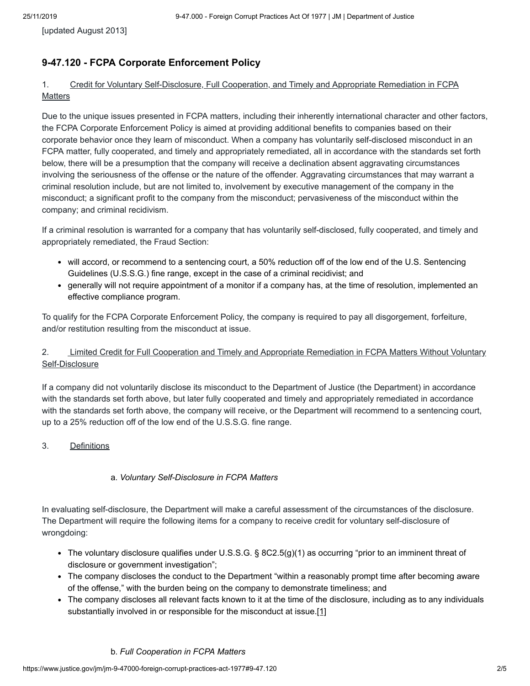[updated August 2013]

# <span id="page-10-0"></span>**9-47.120 - FCPA Corporate Enforcement Policy**

# 1. Credit for Voluntary Self-Disclosure, Full Cooperation, and Timely and Appropriate Remediation in FCPA **Matters**

Due to the unique issues presented in FCPA matters, including their inherently international character and other factors, the FCPA Corporate Enforcement Policy is aimed at providing additional benefits to companies based on their corporate behavior once they learn of misconduct. When a company has voluntarily self-disclosed misconduct in an FCPA matter, fully cooperated, and timely and appropriately remediated, all in accordance with the standards set forth below, there will be a presumption that the company will receive a declination absent aggravating circumstances involving the seriousness of the offense or the nature of the offender. Aggravating circumstances that may warrant a criminal resolution include, but are not limited to, involvement by executive management of the company in the misconduct; a significant profit to the company from the misconduct; pervasiveness of the misconduct within the company; and criminal recidivism.

If a criminal resolution is warranted for a company that has voluntarily self-disclosed, fully cooperated, and timely and appropriately remediated, the Fraud Section:

- will accord, or recommend to a sentencing court, a 50% reduction off of the low end of the U.S. Sentencing Guidelines (U.S.S.G.) fine range, except in the case of a criminal recidivist; and
- generally will not require appointment of a monitor if a company has, at the time of resolution, implemented an effective compliance program.

To qualify for the FCPA Corporate Enforcement Policy, the company is required to pay all disgorgement, forfeiture, and/or restitution resulting from the misconduct at issue.

# 2. Limited Credit for Full Cooperation and Timely and Appropriate Remediation in FCPA Matters Without Voluntary Self-Disclosure

If a company did not voluntarily disclose its misconduct to the Department of Justice (the Department) in accordance with the standards set forth above, but later fully cooperated and timely and appropriately remediated in accordance with the standards set forth above, the company will receive, or the Department will recommend to a sentencing court, up to a 25% reduction off of the low end of the U.S.S.G. fine range.

3. Definitions

## a. *Voluntary Self-Disclosure in FCPA Matters*

In evaluating self-disclosure, the Department will make a careful assessment of the circumstances of the disclosure. The Department will require the following items for a company to receive credit for voluntary self-disclosure of wrongdoing:

- The voluntary disclosure qualifies under U.S.S.G. § 8C2.5(g)(1) as occurring "prior to an imminent threat of disclosure or government investigation";
- The company discloses the conduct to the Department "within a reasonably prompt time after becoming aware of the offense," with the burden being on the company to demonstrate timeliness; and
- The company discloses all relevant facts known to it at the time of the disclosure, including as to any individuals substantially involved in or responsible for the misconduct at issue.[1]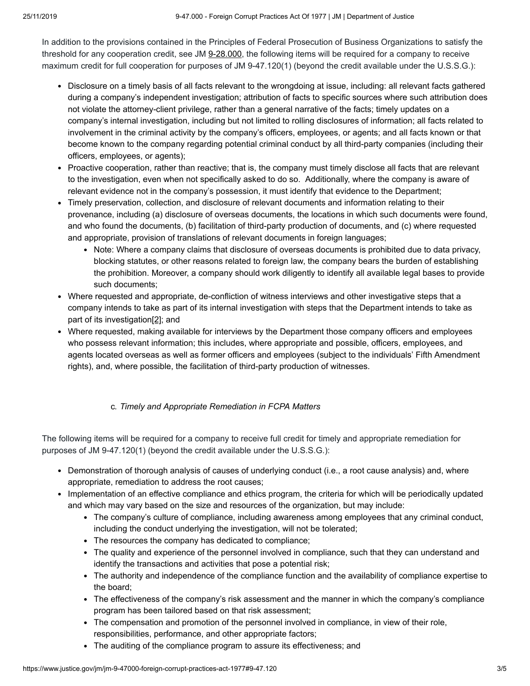In addition to the provisions contained in the Principles of Federal Prosecution of Business Organizations to satisfy the threshold for any cooperation credit, see JM [9-28.000,](https://www.justice.gov/jm/jm-9-28000-principles-federal-prosecution-business-organizations#9-28.720) the following items will be required for a company to receive maximum credit for full cooperation for purposes of JM 9-47.120(1) (beyond the credit available under the U.S.S.G.):

- Disclosure on a timely basis of all facts relevant to the wrongdoing at issue, including: all relevant facts gathered during a company's independent investigation; attribution of facts to specific sources where such attribution does not violate the attorney-client privilege, rather than a general narrative of the facts; timely updates on a company's internal investigation, including but not limited to rolling disclosures of information; all facts related to involvement in the criminal activity by the company's officers, employees, or agents; and all facts known or that become known to the company regarding potential criminal conduct by all third-party companies (including their officers, employees, or agents);
- Proactive cooperation, rather than reactive; that is, the company must timely disclose all facts that are relevant to the investigation, even when not specifically asked to do so. Additionally, where the company is aware of relevant evidence not in the company's possession, it must identify that evidence to the Department;
- Timely preservation, collection, and disclosure of relevant documents and information relating to their provenance, including (a) disclosure of overseas documents, the locations in which such documents were found, and who found the documents, (b) facilitation of third-party production of documents, and (c) where requested and appropriate, provision of translations of relevant documents in foreign languages;
	- Note: Where a company claims that disclosure of overseas documents is prohibited due to data privacy, blocking statutes, or other reasons related to foreign law, the company bears the burden of establishing the prohibition. Moreover, a company should work diligently to identify all available legal bases to provide such documents;
- Where requested and appropriate, de-confliction of witness interviews and other investigative steps that a company intends to take as part of its internal investigation with steps that the Department intends to take as part of its investigation[2]; and
- Where requested, making available for interviews by the Department those company officers and employees who possess relevant information; this includes, where appropriate and possible, officers, employees, and agents located overseas as well as former officers and employees (subject to the individuals' Fifth Amendment rights), and, where possible, the facilitation of third-party production of witnesses.

## c. *Timely and Appropriate Remediation in FCPA Matters*

The following items will be required for a company to receive full credit for timely and appropriate remediation for purposes of JM 9-47.120(1) (beyond the credit available under the U.S.S.G.):

- Demonstration of thorough analysis of causes of underlying conduct (i.e., a root cause analysis) and, where appropriate, remediation to address the root causes;
- Implementation of an effective compliance and ethics program, the criteria for which will be periodically updated and which may vary based on the size and resources of the organization, but may include:
	- The company's culture of compliance, including awareness among employees that any criminal conduct, including the conduct underlying the investigation, will not be tolerated;
	- The resources the company has dedicated to compliance;
	- The quality and experience of the personnel involved in compliance, such that they can understand and identify the transactions and activities that pose a potential risk;
	- The authority and independence of the compliance function and the availability of compliance expertise to the board;
	- The effectiveness of the company's risk assessment and the manner in which the company's compliance program has been tailored based on that risk assessment;
	- The compensation and promotion of the personnel involved in compliance, in view of their role, responsibilities, performance, and other appropriate factors;
	- The auditing of the compliance program to assure its effectiveness; and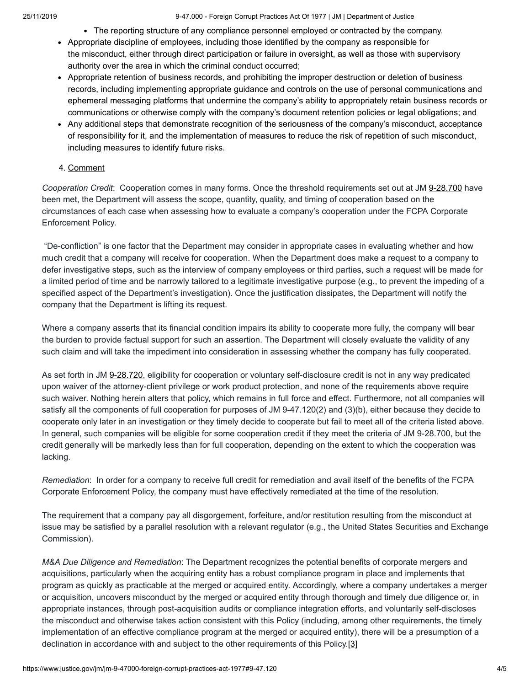- The reporting structure of any compliance personnel employed or contracted by the company.
- Appropriate discipline of employees, including those identified by the company as responsible for the misconduct, either through direct participation or failure in oversight, as well as those with supervisory authority over the area in which the criminal conduct occurred;
- Appropriate retention of business records, and prohibiting the improper destruction or deletion of business records, including implementing appropriate guidance and controls on the use of personal communications and ephemeral messaging platforms that undermine the company's ability to appropriately retain business records or communications or otherwise comply with the company's document retention policies or legal obligations; and
- Any additional steps that demonstrate recognition of the seriousness of the company's misconduct, acceptance of responsibility for it, and the implementation of measures to reduce the risk of repetition of such misconduct, including measures to identify future risks.

## 4. Comment

*Cooperation Credit*: Cooperation comes in many forms. Once the threshold requirements set out at JM [9-28.700](https://www.justice.gov/jm/jm-9-28000-principles-federal-prosecution-business-organizations#9-28.700) have been met, the Department will assess the scope, quantity, quality, and timing of cooperation based on the circumstances of each case when assessing how to evaluate a company's cooperation under the FCPA Corporate Enforcement Policy.

 "De-confliction" is one factor that the Department may consider in appropriate cases in evaluating whether and how much credit that a company will receive for cooperation. When the Department does make a request to a company to defer investigative steps, such as the interview of company employees or third parties, such a request will be made for a limited period of time and be narrowly tailored to a legitimate investigative purpose (e.g., to prevent the impeding of a specified aspect of the Department's investigation). Once the justification dissipates, the Department will notify the company that the Department is lifting its request.

Where a company asserts that its financial condition impairs its ability to cooperate more fully, the company will bear the burden to provide factual support for such an assertion. The Department will closely evaluate the validity of any such claim and will take the impediment into consideration in assessing whether the company has fully cooperated.

As set forth in JM [9-28.720](https://www.justice.gov/jm/jm-9-28000-principles-federal-prosecution-business-organizations#9-28.720), eligibility for cooperation or voluntary self-disclosure credit is not in any way predicated upon waiver of the attorney-client privilege or work product protection, and none of the requirements above require such waiver. Nothing herein alters that policy, which remains in full force and effect. Furthermore, not all companies will satisfy all the components of full cooperation for purposes of JM 9-47.120(2) and (3)(b), either because they decide to cooperate only later in an investigation or they timely decide to cooperate but fail to meet all of the criteria listed above. In general, such companies will be eligible for some cooperation credit if they meet the criteria of JM 9-28.700, but the credit generally will be markedly less than for full cooperation, depending on the extent to which the cooperation was lacking.

*Remediation*: In order for a company to receive full credit for remediation and avail itself of the benefits of the FCPA Corporate Enforcement Policy, the company must have effectively remediated at the time of the resolution.

The requirement that a company pay all disgorgement, forfeiture, and/or restitution resulting from the misconduct at issue may be satisfied by a parallel resolution with a relevant regulator (e.g., the United States Securities and Exchange Commission).

*M&A Due Diligence and Remediation*: The Department recognizes the potential benefits of corporate mergers and acquisitions, particularly when the acquiring entity has a robust compliance program in place and implements that program as quickly as practicable at the merged or acquired entity. Accordingly, where a company undertakes a merger or acquisition, uncovers misconduct by the merged or acquired entity through thorough and timely due diligence or, in appropriate instances, through post-acquisition audits or compliance integration efforts, and voluntarily self-discloses the misconduct and otherwise takes action consistent with this Policy (including, among other requirements, the timely implementation of an effective compliance program at the merged or acquired entity), there will be a presumption of a declination in accordance with and subject to the other requirements of this Policy.[3]